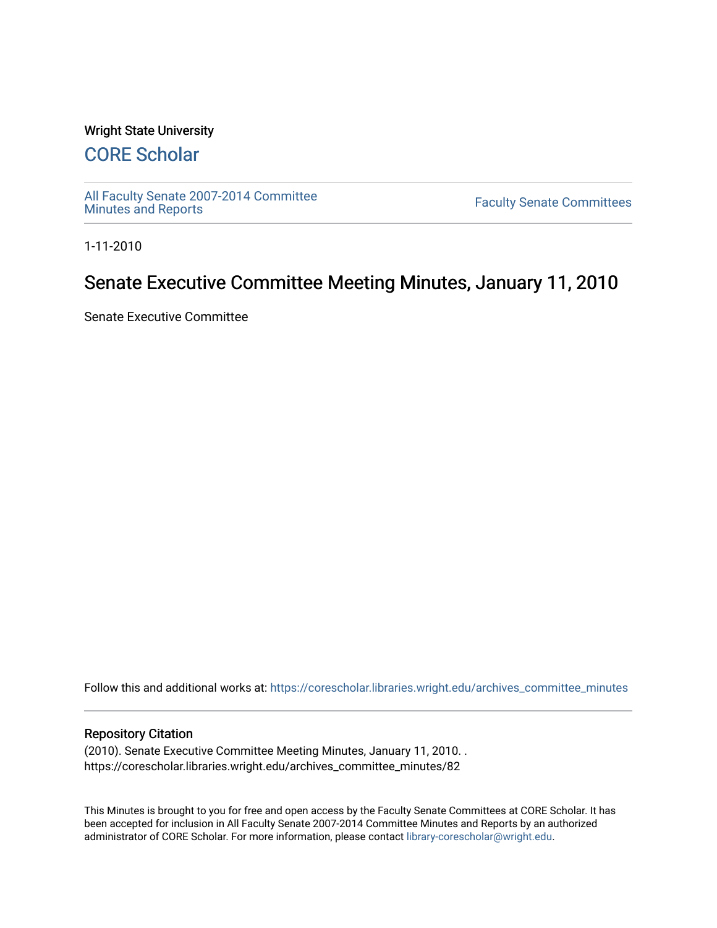### Wright State University

# [CORE Scholar](https://corescholar.libraries.wright.edu/)

[All Faculty Senate 2007-2014 Committee](https://corescholar.libraries.wright.edu/archives_committee_minutes)

**Faculty Senate Committees** 

1-11-2010

# Senate Executive Committee Meeting Minutes, January 11, 2010

Senate Executive Committee

Follow this and additional works at: [https://corescholar.libraries.wright.edu/archives\\_committee\\_minutes](https://corescholar.libraries.wright.edu/archives_committee_minutes?utm_source=corescholar.libraries.wright.edu%2Farchives_committee_minutes%2F82&utm_medium=PDF&utm_campaign=PDFCoverPages) 

#### Repository Citation

(2010). Senate Executive Committee Meeting Minutes, January 11, 2010. . https://corescholar.libraries.wright.edu/archives\_committee\_minutes/82

This Minutes is brought to you for free and open access by the Faculty Senate Committees at CORE Scholar. It has been accepted for inclusion in All Faculty Senate 2007-2014 Committee Minutes and Reports by an authorized administrator of CORE Scholar. For more information, please contact [library-corescholar@wright.edu.](mailto:library-corescholar@wright.edu)